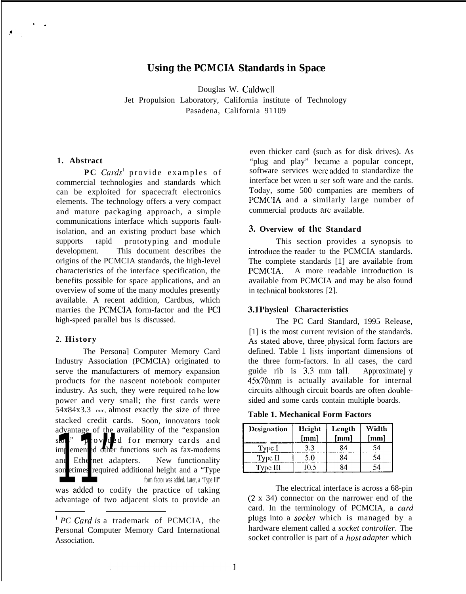# **Using the PCMCIA Standards in Space**

Douglas W. Caldwcll Jet Propulsion Laboratory, California institute of Technology Pasadena, California 91109

#### **1. Abstract**

. .

**PC** Cards<sup>1</sup> provide examples of commercial technologies and standards which can be exploited for spacecraft electronics elements. The technology offers a very compact and mature packaging approach, a simple communications interface which supports faultisolation, and an existing product base which supports rapid prototyping and module development. This document describes the origins of the PCMCIA standards, the high-level characteristics of the interface specification, the benefits possible for space applications, and an overview of some of the many modules presently available. A recent addition, Cardbus, which marries the PCMCIA form-factor and the PCI high-speed parallel bus is discussed.

#### 2. **History**

Industry Association (PCMCIA) originated to the three form-factors. In all cases, the card serve the manufacturers of memory expansion guide rib is 3.3 mm tall. Approximately products for the nascent notebook computer 45x70mm is actually available for internal products for the nascent notebook computer  $45x70$  in is actually available for internal industry. As such, they were required to be low circuits although circuit boards are often doubleindustry. As such, they were required to be low power and very small; the first cards were sided and some cards contain multiple boards. 54x84x3.3 mm, almost exactly the size of three **Table 1. Mechanical Form Factors** stacked credit cards. Soon, innovators took advantage of the availability of the "expansion  $s$  provided for memory cards and implemented other functions such as fax-modems and Ethernet adapters. New functionality advantage of the availability of the "expansion<br>
sometimes required for memory cards and<br>
implemented other functions such as fax-modems<br>
and Ethernet adapters. New functionality<br>
sometimes required additional height and a

advantage of two adjacent slots to provide an

even thicker card (such as for disk drives). As "plug and play" hccame a popular concept, software services were added to standardize the interface bet wcen u scr soft ware and the cards. Today, some 500 companies are members of PCMCIA and a similarly large number of commercial products arc available.

#### **3. Overview of the Standard**

This section provides a synopsis to introduce the reader to the PCMCIA standards. The complete standards [1] are available from PCMCIA. A more readable introduction is available from PCMCIA and may be also found in technical bookstores [2].

#### **3.1 Physical Characteristics**

The PC Card Standard, 1995 Release, [1] is the most current revision of the standards. As stated above, three physical form factors are The Personal Computer Memory Card defined. Table 1 lists important dimensions of

| Designation | <b>Height</b><br>[mm] | Length<br>[mm] | Width<br>${\rm [mm]}$ |
|-------------|-----------------------|----------------|-----------------------|
| Type I      | 3.3                   | 84             | 54                    |
| Type II     | 5.0                   | 84             | 54                    |
| Type III    | 10.5                  | 84             | 54                    |

was added to codify the practice of taking<br>advantage of two adjacent slots to provide an  $(2 \times 34)$  connector on the narrower end of the card. In the terminology of PCMCIA, a card <sup>1</sup> PC Card is a trademark of PCMCIA, the plugs into a *socket* which is managed by a personal Computer Memory Card International hardware element called a *socket controller*. The

Personal Computer Memory Card International Association. **Socket controller** is part of a *host adapter* which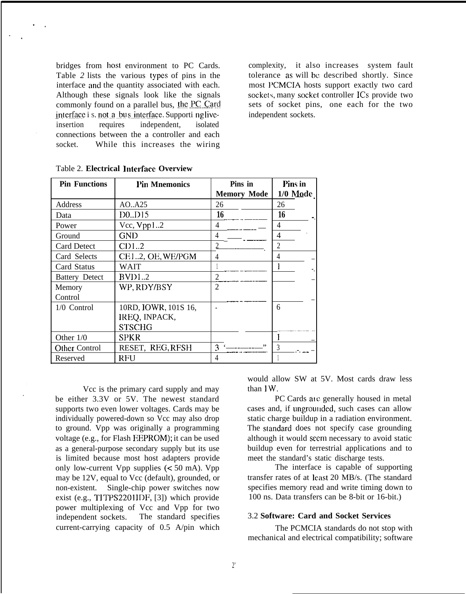Table 2 lists the various types of pins in the tolerance as will be described shortly. Since interface and the quantity associated with each. most PCMCIA hosts support exactly two card<br>Although these signals look like the signals sockets, many socket controller ICs provide two commonly found on a parallel bus, the PC Card sets of socket pins, one each for the two interface i s. not a bus interface. Supporti ng live- independent sockets. insertion requires independent, isolated connections between the a controller and each socket. While this increases the wiring

bridges from host environment to PC Cards. complexity, it also increases system fault sockets, many socket controller ICs provide two

| <b>Pin Functions</b>  | <b>Pin Mnemonics</b> | Pins in            | Pins in        |
|-----------------------|----------------------|--------------------|----------------|
|                       |                      | <b>Memory Mode</b> | $1/0$ Mode     |
| Address               | AO. A25              | 26                 | 26             |
| Data                  | $D0.$ $D15$          | 16                 | 16             |
| Power                 | $Vec$ , $Vpp12$      | 4                  | 4              |
| Ground                | <b>GND</b>           | 4                  | 4              |
| <b>Card Detect</b>    | CD12                 |                    | $\overline{2}$ |
| Card Selects          | CE12, OE, WE/PGM     |                    | 4              |
| Card Status           | WAIT                 |                    |                |
| <b>Battery Detect</b> | BVD12                | $\overline{2}$     |                |
| Memory                | WP, RDY/BSY          | $\overline{2}$     |                |
| Control               |                      |                    |                |
| 1/0 Control           | 10RD, IOWR, 101S 16, |                    | 6              |
|                       | IREQ, INPACK,        |                    |                |
|                       | <b>STSCHG</b>        |                    |                |
| Other $1/0$           | SPKR                 |                    |                |
| Other Control         | RESET, REG, RFSH     | 3                  | 3              |
| Reserved              | RFU                  | 4                  |                |

Table 2. **Electrical ]ntcrfacc Overview**

Vcc is the primary card supply and may be either 3.3V or 5V. The newest standard supports two even lower voltages. Cards may be individually powered-down so Vcc may also drop to ground. Vpp was originally a programming voltage (e.g., for Flash EEPROM); it can be used as a general-purpose secondary supply but its use is limited because most host adapters provide only low-current Vpp supplies (< 50 mA). Vpp may be 12V, equal to Vcc (default), grounded, or non-existent. Single-chip power switches now exist (e.g., TITPS2201IDF, [3]) which provide power multiplexing of Vcc and Vpp for two independent sockets. The standard specifies current-carrying capacity of 0.5 A/pin which

would allow SW at 5V. Most cards draw less than IW.

PC Cards are generally housed in metal cases and, if ungrounded, such cases can allow static charge buildup in a radiation environment. The standard does not specify case grounding although it would seem necessary to avoid static buildup even for terrestrial applications and to meet the standard's static discharge tests.

The interface is capable of supporting transfer rates of at least 20 MB/s. (The standard specifies memory read and write timing down to 100 ns. Data transfers can be 8-bit or 16-bit.)

### 3.2 **Software: Card and Socket Services**

The PCMCIA standards do not stop with mechanical and electrical compatibility; software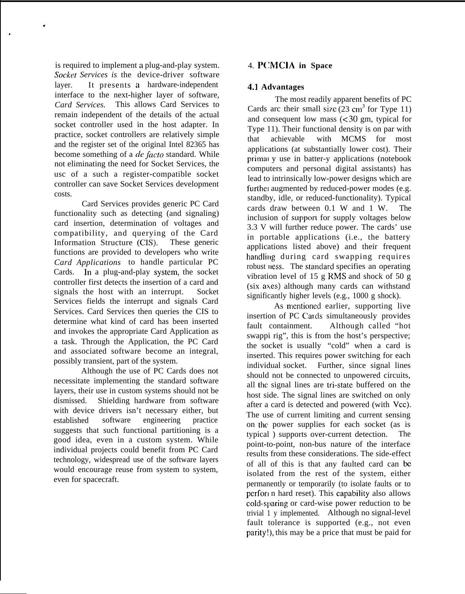is required to implement a plug-and-play system. Socker *Services is* the device-driver software layer. It presents a hardware-independent interface to the next-higher layer of software, *Card Services.* This allows Card Services to remain independent of the details of the actual socket controller used in the host adapter. In practice, socket controllers are relatively simple and the register set of the original Intel 82365 has become something of a *de facto* standard. While not eliminating the need for Socket Services, the usc of a such a register-compatible socket controller can save Socket Services development costs.

.

.

Card Services provides generic PC Card functionality such as detecting (and signaling) card insertion, determination of voltages and compatibility, and querying of the Card Information Structure (CIS). These generic functions are provided to developers who write *Card Applications* to handle particular PC Cards. In a plug-and-play system, the socket controller first detects the insertion of a card and signals the host with an interrupt. Socket Services fields the interrupt and signals Card Services. Card Services then queries the CIS to determine what kind of card has been inserted and invokes the appropriate Card Application as a task. Through the Application, the PC Card and associated software become an integral, possibly transient, part of the system.

Although the use of PC Cards does not necessitate implementing the standard software layers, their use in custom systems should not be dismissed. Shielding hardware from software with device drivers isn't necessary either, but established software engineering practice suggests that such functional partitioning is a good idea, even in a custom system. While individual projects could benefit from PC Card technology, widespread use of the software layers would encourage reuse from system to system, even for spacecraft.

# 4. P(;MCIA **in Space**

# 4.1 **Advantages**

The most readily apparent benefits of PC Cards arc their small size  $(23 \text{ cm}^3 \text{ for Type } 11)$ and consequent low mass (< 30 gm, typical for Type 11). Their functional density is on par with that achievable with MCMS for most applications (at substantially lower cost). Their primal y use in batter-y applications (notebook computers and personal digital assistants) has lead to intrinsically low-power designs which are further augmented by reduced-power modes (e.g. standby, idle, or reduced-functionality). Typical cards draw between 0.1 W and 1 W. The inclusion of supporl for supply voltages below 3.3 V will further reduce power. The cards' use in portable applications (i.e., the battery applications listed above) and their frequent handling during card swapping requires robust ness. The standard specifies an operating vibration level of 15 g RMS and shock of 50 g (six axes) although many cards can withstand significantly higher levels (e.g., 1000 g shock).

As mentioned earlier, supporting live insertion of PC Cards simultaneously provides fault containment. Although called "hot swappi rig", this is from the host's perspective; the socket is usually "cold" when a card is inserted. This requires power switching for each individual socket. Further, since signal lines should not be connected to unpowered circuits, all the signal lines are tri-state buffered on the host side. The signal lines are switched on only after a card is detected and powered (with Vcc). The use of current limiting and current sensing on the power supplies for each socket (as is typical ) supports over-current detection. The point-to-point, non-bus nature of the interface results from these considerations. The side-effect of all of this is that any faulted card can k isolated from the rest of the system, either permanently or temporarily (to isolate faults or to perform hard reset). This capability also allows cold-sparing or card-wise power reduction to be trivial 1 y implemented. Although no signal-level fault tolerance is supported (e.g., not even parity!), this may be a price that must be paid for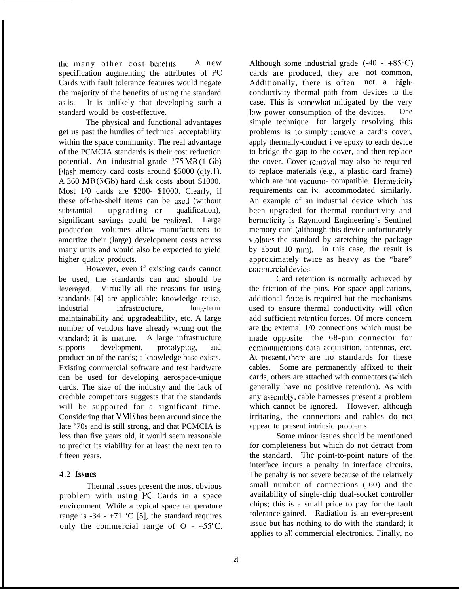the many other cost benefits. A new specification augmenting the attributes of PC Cards with fault tolerance features would negate the majority of the benefits of using the standard as-is. It is unlikely that developing such a standard would be cost-effective.

The physical and functional advantages get us past the hurdles of technical acceptability within the space community. The real advantage of the PCMCIA standards is their cost reduction potential. An industrial-grade 175 MB (1 Gb) Flash memory card costs around  $$5000$  (qty.1). A 360 MB (3 Gb) hard disk costs about \$1000. Most 1/0 cards are \$200- \$1000. Clearly, if these off-the-shelf items can be used (without substantial upgrading or qualification), significant savings could be realized. Large production volumes allow manufacturers to amortize their (large) development costs across many units and would also be expected to yield higher quality products.

However, even if existing cards cannot be used, the standards can and should be leveraged. Virtually all the reasons for using standards [4] are applicable: knowledge reuse, industrial infrastructure, long-term maintainability and upgradeability, etc. A large number of vendors have already wrung out the standard; it is mature. A large infrastructure supports development, prototyping, and production of the cards; a knowledge base exists. Existing commercial software and test hardware can be used for developing aerospace-unique cards. The size of the industry and the lack of credible competitors suggests that the standards will be supported for a significant time. Considering that VME has been around since the late '70s and is still strong, and that PCMCIA is less than five years old, it would seem reasonable to predict its viability for at least the next ten to fifteen years.

# 4.2 **hSUCS**

Thermal issues present the most obvious problem with using PC Cards in a space environment. While a typical space temperature range is  $-34 - +71$  'C [5], the standard requires only the commercial range of  $O - +55^{\circ}C$ .

Although some industrial grade  $(-40 - +85^{\circ}C)$ cards are produced, they are not common, Additionally, there is often not a highconductivity thermal path from devices to the case. This is somewhat mitigated by the very low power consumption of the devices. One simple technique for largely resolving this problems is to simply remove a card's cover, apply thermally-conduct i ve epoxy to each device to bridge the gap to the cover, and then replace the cover. Cover removal may also be required to replace materials (e.g., a plastic card frame) which are not vacuum- compatible. Hermeticity requirements can be accommodated similarly. An example of an industrial device which has been upgraded for thermal conductivity and hermeticity is Raymond Engineering's Sentinel memory card (although this device unfortunately violates the standard by stretching the package by about  $10 \text{ mm}$ ). in this case, the result is approximately twice as heavy as the "bare" commercial device.

Card retention is normally achieved by the friction of the pins. For space applications, additional force is required but the mechanisms used to ensure thermal conductivity will often add sufficient retention forces. Of more concern are the external 1/0 connections which must be made opposite the 68-pin connector for comnmnications, data acquisition, antennas, etc. At present, there are no standards for these cables. Some are permanently affixed to their cards, others are attached with connectors (which generally have no positive retention). As with any assembly, cable harnesses present a problem which cannot be ignored. However, although irritating, the connectors and cables do **not** appear to present intrinsic problems.

Some minor issues should be mentioned for completeness but which do not detract from the standard. The point-to-point nature of the interface incurs a penalty in interface circuits. The penalty is not severe because of the relatively small number of connections (-60) and the availability of single-chip dual-socket controller chips; this is a small price to pay for the fault tolerance gained. Radiation is an ever-present issue but has nothing to do with the standard; it applies to all commercial electronics. Finally, no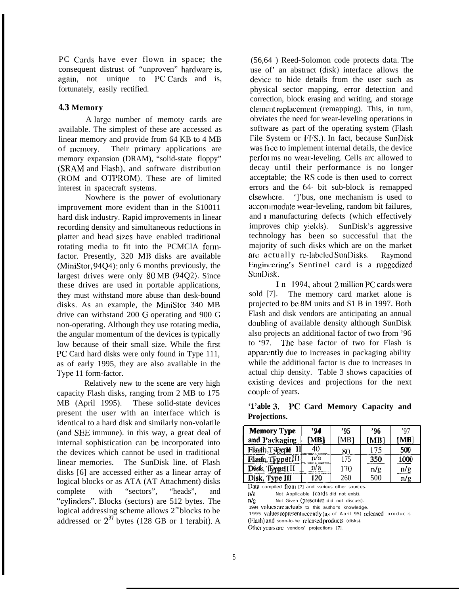PC Cards have ever flown in space; the consequent distrust of "unproven" hardware is, again, not unique to PC Cards and is, fortunately, easily rectified.

#### **4.3 Memory**

A large number of memoty cards are available. The simplest of these are accessed as linear memory and provide from 64 KB to 4 MB of memory. Their primary applications are memory expansion (DRAM), "solid-state floppy" (SRAM and Flash), and software distribution (ROM and OTPROM). These are of limited interest in spacecraft systems.

Nowhere is the power of evolutionary improvement more evident than in the \$10011 hard disk industry. Rapid improvements in linear recording density and simultaneous reductions in platter and head sizes have enabled traditional rotating media to fit into the PCMCIA formfactor. Presently, 320 MB disks are available (MiniStor, 94Q4); only 6 months previously, the largest drives were only 80 MB (94Q2). Since these drives are used in portable applications, they must withstand more abuse than desk-bound disks. As an example, the MiniStor 340 MB drive can withstand 200 G operating and 900 G non-operating. Although they use rotating media, the angular momentum of the devices is typically low because of their small size. While the first PC Card hard disks were only found in Type 111, as of early 1995, they are also available in the Type 11 form-factor.

Relatively new to the scene are very high capacity Flash disks, ranging from 2 MB to 175 MB (April 1995). These solid-state devices present the user with an interface which is identical to a hard disk and similarly non-volatile  $($ and SEE immune). in this way, a great deal of internal sophistication can be incorporated into the devices which cannot be used in traditional linear memories. The SunDisk line. of Flash disks [6] are accessed either as a linear array of logical blocks or as ATA (AT Attachment) disks complete with "sectors", "heads", and "cylinders". Blocks (sectors) are 512 bytes. The logical addressing scheme allows  $2^{28}$  blocks to be addressed or  $2^{37}$  bytes (128 GB or 1 terabit). A

(56,64 ) Reed-Solomon code protects data. The use of an abstract (disk) interface allows the device to hide details from the user such as physical sector mapping, error detection and correction, block erasing and writing, and storage element replacement (remapping). This, in turn, obviates the need for wear-leveling operations in software as part of the operating system (Flash File System or FFS.). In fact, because SunDisk was free to implement internal details, the device perfoj ms no wear-leveling. Cells arc allowed to decay until their performance is no longer acceptable; the RS code is then used to correct errors and the 64. bit sub-block is remapped elsewhere. ']'bus, one mechanism is used to accommodate wear-leveling, random bit failures, and  $\iota$  manufacturing defects (which effectively improves chip yields). SunDisk's aggressive technology has been so successful that the majority of such disks which are on the market are actually re-labeled SunDisks. Raymond Engincering's Sentinel card is a ruggedized SunDisk.

In 1994, about 2 million PC cards were sold [7]. The memory card market alone is projected to bc 8M units and \$1 B in 1997. Both Flash and disk vendors are anticipating an annual doubling of available density although SunDisk also projects an additional factor of two from '96 to '97. The base factor of two for Flash is apparently due to increases in packaging ability while the additional factor is due to increases in actual chip density. Table 3 shows capacities of existing devices and projections for the next couple of years.

**'1'able 3. I'C Card Memory Capacity and Projections.**

| <b>Memory Type</b> | '94  | '95  | ,96  | ,97  |
|--------------------|------|------|------|------|
| and Packaging      | [MB] | [MB] | [MB] | [MB] |
| Flash, Typeple II  | 40   | 80   | 175  | 500  |
| Flash, Typpd III   | n/a  | 175  | 350  | 1000 |
| Disk, flyped III   | n/a  | 170  | n/g  | n/g  |
| Disk, Type III     | 120  | 260  | 500  | n/g  |

 $n/g$  Not Given (prescriter did not discuss).

1994 volues are actuals to this author's knowledge.

1995 values represent recently (as of April 95) released products

(Flash) and soon-to-he released products (disks). Other years are vendors' projections [7].